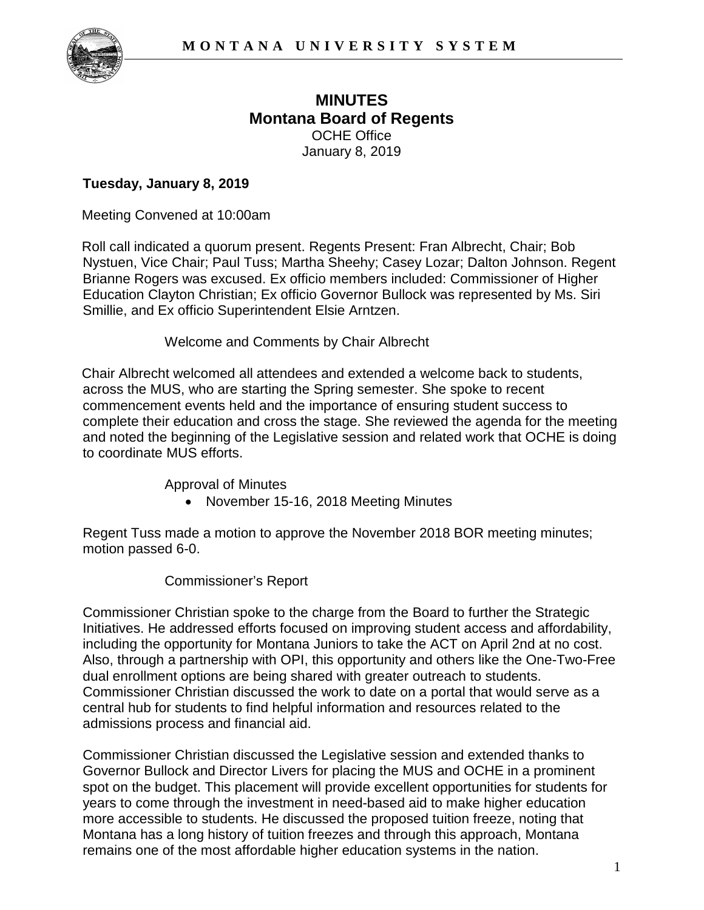

# **MINUTES Montana Board of Regents**  OCHE Office January 8, 2019

## **Tuesday, January 8, 2019**

Meeting Convened at 10:00am

Roll call indicated a quorum present. Regents Present: Fran Albrecht, Chair; Bob Nystuen, Vice Chair; Paul Tuss; Martha Sheehy; Casey Lozar; Dalton Johnson. Regent Brianne Rogers was excused. Ex officio members included: Commissioner of Higher Education Clayton Christian; Ex officio Governor Bullock was represented by Ms. Siri Smillie, and Ex officio Superintendent Elsie Arntzen.

Welcome and Comments by Chair Albrecht

Chair Albrecht welcomed all attendees and extended a welcome back to students, across the MUS, who are starting the Spring semester. She spoke to recent commencement events held and the importance of ensuring student success to complete their education and cross the stage. She reviewed the agenda for the meeting and noted the beginning of the Legislative session and related work that OCHE is doing to coordinate MUS efforts.

Approval of Minutes

• November 15-16, 2018 Meeting Minutes

Regent Tuss made a motion to approve the November 2018 BOR meeting minutes; motion passed 6-0.

#### Commissioner's Report

Commissioner Christian spoke to the charge from the Board to further the Strategic Initiatives. He addressed efforts focused on improving student access and affordability, including the opportunity for Montana Juniors to take the ACT on April 2nd at no cost. Also, through a partnership with OPI, this opportunity and others like the One-Two-Free dual enrollment options are being shared with greater outreach to students. Commissioner Christian discussed the work to date on a portal that would serve as a central hub for students to find helpful information and resources related to the admissions process and financial aid.

Commissioner Christian discussed the Legislative session and extended thanks to Governor Bullock and Director Livers for placing the MUS and OCHE in a prominent spot on the budget. This placement will provide excellent opportunities for students for years to come through the investment in need-based aid to make higher education more accessible to students. He discussed the proposed tuition freeze, noting that Montana has a long history of tuition freezes and through this approach, Montana remains one of the most affordable higher education systems in the nation.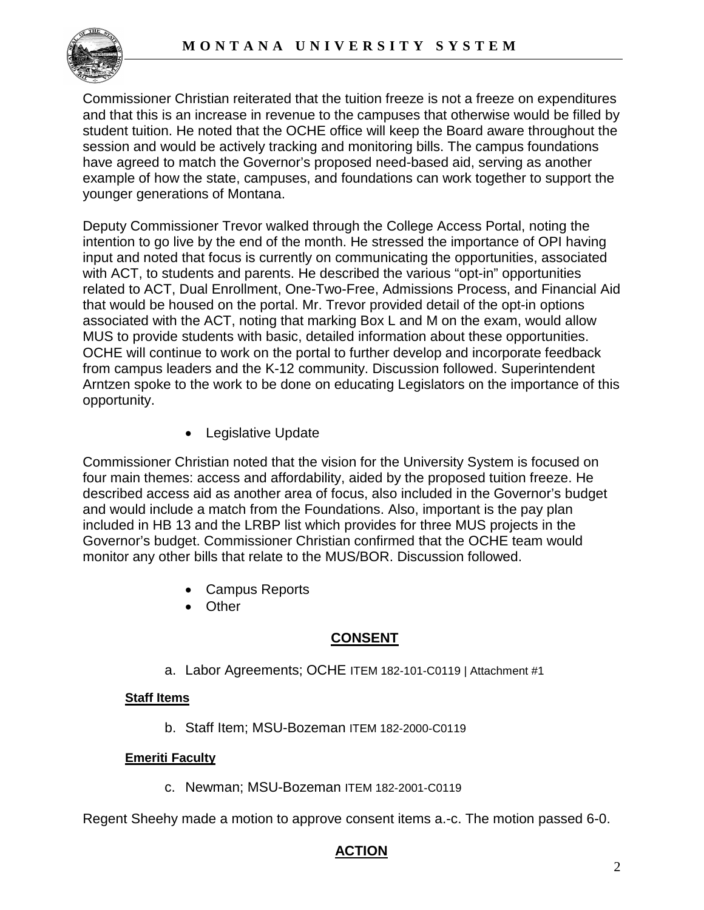

Commissioner Christian reiterated that the tuition freeze is not a freeze on expenditures and that this is an increase in revenue to the campuses that otherwise would be filled by student tuition. He noted that the OCHE office will keep the Board aware throughout the session and would be actively tracking and monitoring bills. The campus foundations have agreed to match the Governor's proposed need-based aid, serving as another example of how the state, campuses, and foundations can work together to support the younger generations of Montana.

Deputy Commissioner Trevor walked through the College Access Portal, noting the intention to go live by the end of the month. He stressed the importance of OPI having input and noted that focus is currently on communicating the opportunities, associated with ACT, to students and parents. He described the various "opt-in" opportunities related to ACT, Dual Enrollment, One-Two-Free, Admissions Process, and Financial Aid that would be housed on the portal. Mr. Trevor provided detail of the opt-in options associated with the ACT, noting that marking Box L and M on the exam, would allow MUS to provide students with basic, detailed information about these opportunities. OCHE will continue to work on the portal to further develop and incorporate feedback from campus leaders and the K-12 community. Discussion followed. Superintendent Arntzen spoke to the work to be done on educating Legislators on the importance of this opportunity.

• Legislative Update

Commissioner Christian noted that the vision for the University System is focused on four main themes: access and affordability, aided by the proposed tuition freeze. He described access aid as another area of focus, also included in the Governor's budget and would include a match from the Foundations. Also, important is the pay plan included in HB 13 and the LRBP list which provides for three MUS projects in the Governor's budget. Commissioner Christian confirmed that the OCHE team would monitor any other bills that relate to the MUS/BOR. Discussion followed.

- Campus Reports
- Other

# **CONSENT**

a. Labor Agreements; OCHE ITEM 182-101-C0119 | Attachment #1

## **Staff Items**

b. Staff Item; MSU-Bozeman ITEM 182-2000-C0119

#### **Emeriti Faculty**

c. Newman; MSU-Bozeman ITEM 182-2001-C0119

Regent Sheehy made a motion to approve consent items a.-c. The motion passed 6-0.

## **ACTION**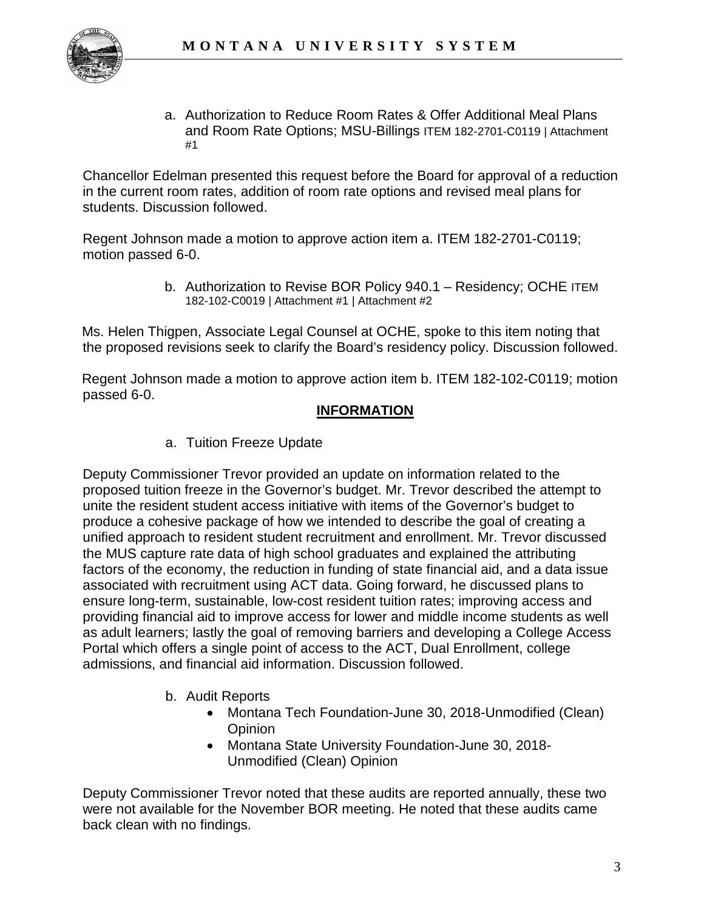

a. Authorization to Reduce Room Rates & Offer Additional Meal Plans and Room Rate Options; MSU-Billings ITEM 182-2701-C0119 | Attachment #1

Chancellor Edelman presented this request before the Board for approval of a reduction in the current room rates, addition of room rate options and revised meal plans for students. Discussion followed.

Regent Johnson made a motion to approve action item a. ITEM 182-2701-C0119; motion passed 6-0.

> b. Authorization to Revise BOR Policy 940.1 – Residency; OCHE ITEM 182-102-C0019 | Attachment #1 | Attachment #2

Ms. Helen Thigpen, Associate Legal Counsel at OCHE, spoke to this item noting that the proposed revisions seek to clarify the Board's residency policy. Discussion followed.

Regent Johnson made a motion to approve action item b. ITEM 182-102-C0119; motion passed 6-0.

## **INFORMATION**

a. Tuition Freeze Update

Deputy Commissioner Trevor provided an update on information related to the proposed tuition freeze in the Governor's budget. Mr. Trevor described the attempt to unite the resident student access initiative with items of the Governor's budget to produce a cohesive package of how we intended to describe the goal of creating a unified approach to resident student recruitment and enrollment. Mr. Trevor discussed the MUS capture rate data of high school graduates and explained the attributing factors of the economy, the reduction in funding of state financial aid, and a data issue associated with recruitment using ACT data. Going forward, he discussed plans to ensure long-term, sustainable, low-cost resident tuition rates; improving access and providing financial aid to improve access for lower and middle income students as well as adult learners; lastly the goal of removing barriers and developing a College Access Portal which offers a single point of access to the ACT, Dual Enrollment, college admissions, and financial aid information. Discussion followed.

- b. Audit Reports
	- Montana Tech Foundation-June 30, 2018-Unmodified (Clean) **Opinion**
	- Montana State University Foundation-June 30, 2018- Unmodified (Clean) Opinion

Deputy Commissioner Trevor noted that these audits are reported annually, these two were not available for the November BOR meeting. He noted that these audits came back clean with no findings.